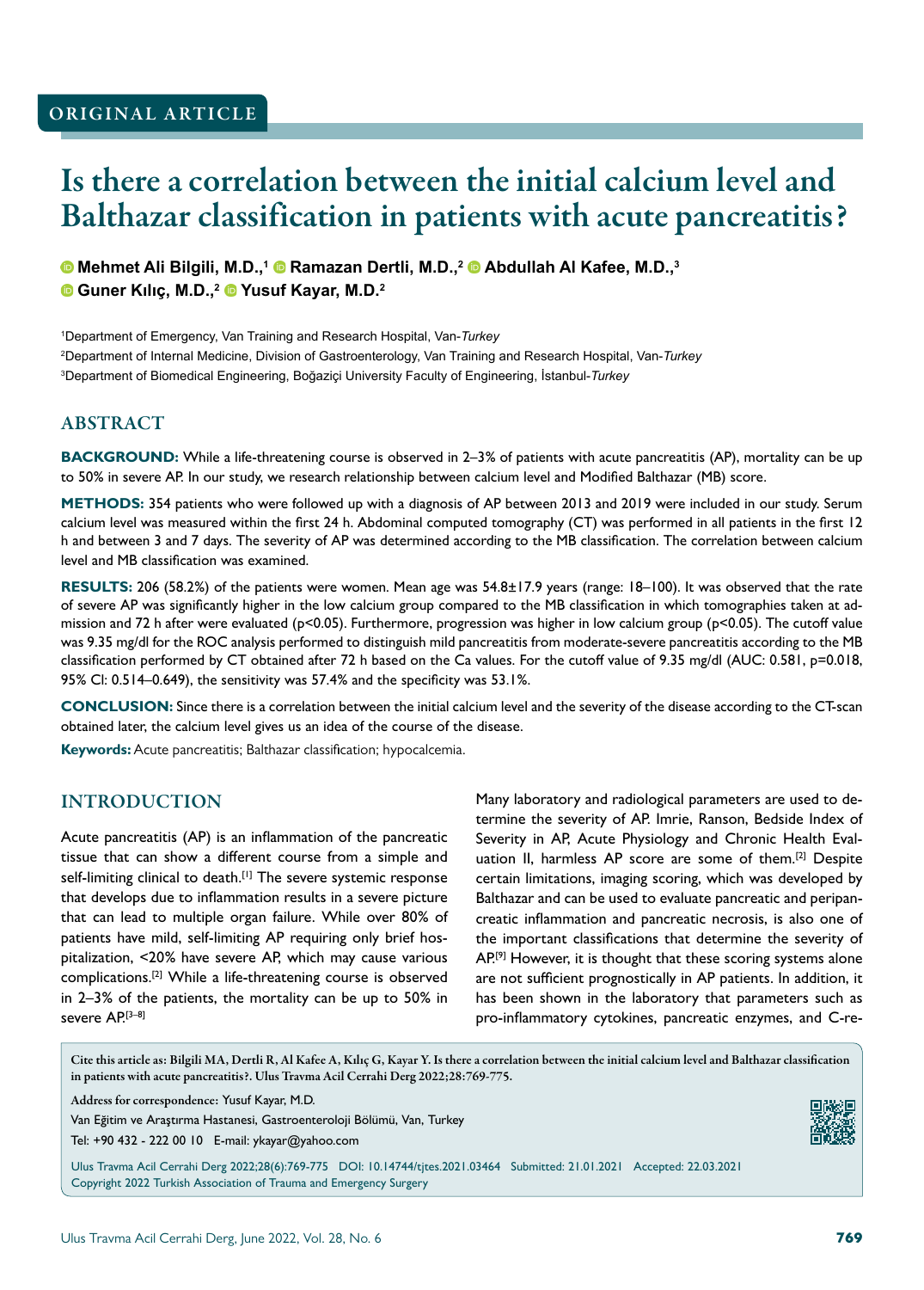# Is there a correlation between the initial calcium level and Balthazar classification in patients with acute pancreatitis?

**Mehmet Ali Bilgili, M.D.,1 Ramazan Dertli, M.D.,2 Abdullah Al Kafee, M.D.,3 Guner Kılıç, M.D.,<sup>2</sup> Yusuf Kayar, M.D.2**

1 Department of Emergency, Van Training and Research Hospital, Van-*Turkey* 2 Department of Internal Medicine, Division of Gastroenterology, Van Training and Research Hospital, Van-*Turkey* 3 Department of Biomedical Engineering, Boğaziçi University Faculty of Engineering, İstanbul-*Turkey*

#### ABSTRACT

**BACKGROUND:** While a life-threatening course is observed in 2–3% of patients with acute pancreatitis (AP), mortality can be up to 50% in severe AP. In our study, we research relationship between calcium level and Modified Balthazar (MB) score.

**METHODS:** 354 patients who were followed up with a diagnosis of AP between 2013 and 2019 were included in our study. Serum calcium level was measured within the first 24 h. Abdominal computed tomography (CT) was performed in all patients in the first 12 h and between 3 and 7 days. The severity of AP was determined according to the MB classification. The correlation between calcium level and MB classification was examined.

**RESULTS:** 206 (58.2%) of the patients were women. Mean age was 54.8±17.9 years (range: 18–100). It was observed that the rate of severe AP was significantly higher in the low calcium group compared to the MB classification in which tomographies taken at admission and 72 h after were evaluated (p<0.05). Furthermore, progression was higher in low calcium group (p<0.05). The cutoff value was 9.35 mg/dl for the ROC analysis performed to distinguish mild pancreatitis from moderate-severe pancreatitis according to the MB classification performed by CT obtained after 72 h based on the Ca values. For the cutoff value of 9.35 mg/dl (AUC: 0.581, p=0.018, 95% Cl: 0.514–0.649), the sensitivity was 57.4% and the specificity was 53.1%.

**CONCLUSION:** Since there is a correlation between the initial calcium level and the severity of the disease according to the CT-scan obtained later, the calcium level gives us an idea of the course of the disease.

**Keywords:** Acute pancreatitis; Balthazar classification; hypocalcemia.

#### INTRODUCTION

Acute pancreatitis (AP) is an inflammation of the pancreatic tissue that can show a different course from a simple and self-limiting clinical to death.<sup>[1]</sup> The severe systemic response that develops due to inflammation results in a severe picture that can lead to multiple organ failure. While over 80% of patients have mild, self-limiting AP requiring only brief hospitalization, <20% have severe AP, which may cause various complications.[2] While a life-threatening course is observed in 2–3% of the patients, the mortality can be up to 50% in severe AP.[3-8]

Many laboratory and radiological parameters are used to determine the severity of AP. Imrie, Ranson, Bedside Index of Severity in AP, Acute Physiology and Chronic Health Evaluation II, harmless AP score are some of them.<sup>[2]</sup> Despite certain limitations, imaging scoring, which was developed by Balthazar and can be used to evaluate pancreatic and peripancreatic inflammation and pancreatic necrosis, is also one of the important classifications that determine the severity of AP.<sup>[9]</sup> However, it is thought that these scoring systems alone are not sufficient prognostically in AP patients. In addition, it has been shown in the laboratory that parameters such as pro-inflammatory cytokines, pancreatic enzymes, and C-re-

Cite this article as: Bilgili MA, Dertli R, Al Kafee A, Kılıç G, Kayar Y. Is there a correlation between the initial calcium level and Balthazar classification in patients with acute pancreatitis?. Ulus Travma Acil Cerrahi Derg 2022;28:769-775.

Address for correspondence: Yusuf Kayar, M.D.



Ulus Travma Acil Cerrahi Derg 2022;28(6):769-775 DOI: 10.14744/tjtes.2021.03464 Submitted: 21.01.2021 Accepted: 22.03.2021 Copyright 2022 Turkish Association of Trauma and Emergency Surgery

Van Eğitim ve Araştırma Hastanesi, Gastroenteroloji Bölümü, Van, Turkey Tel: +90 432 - 222 00 10 E-mail: ykayar@yahoo.com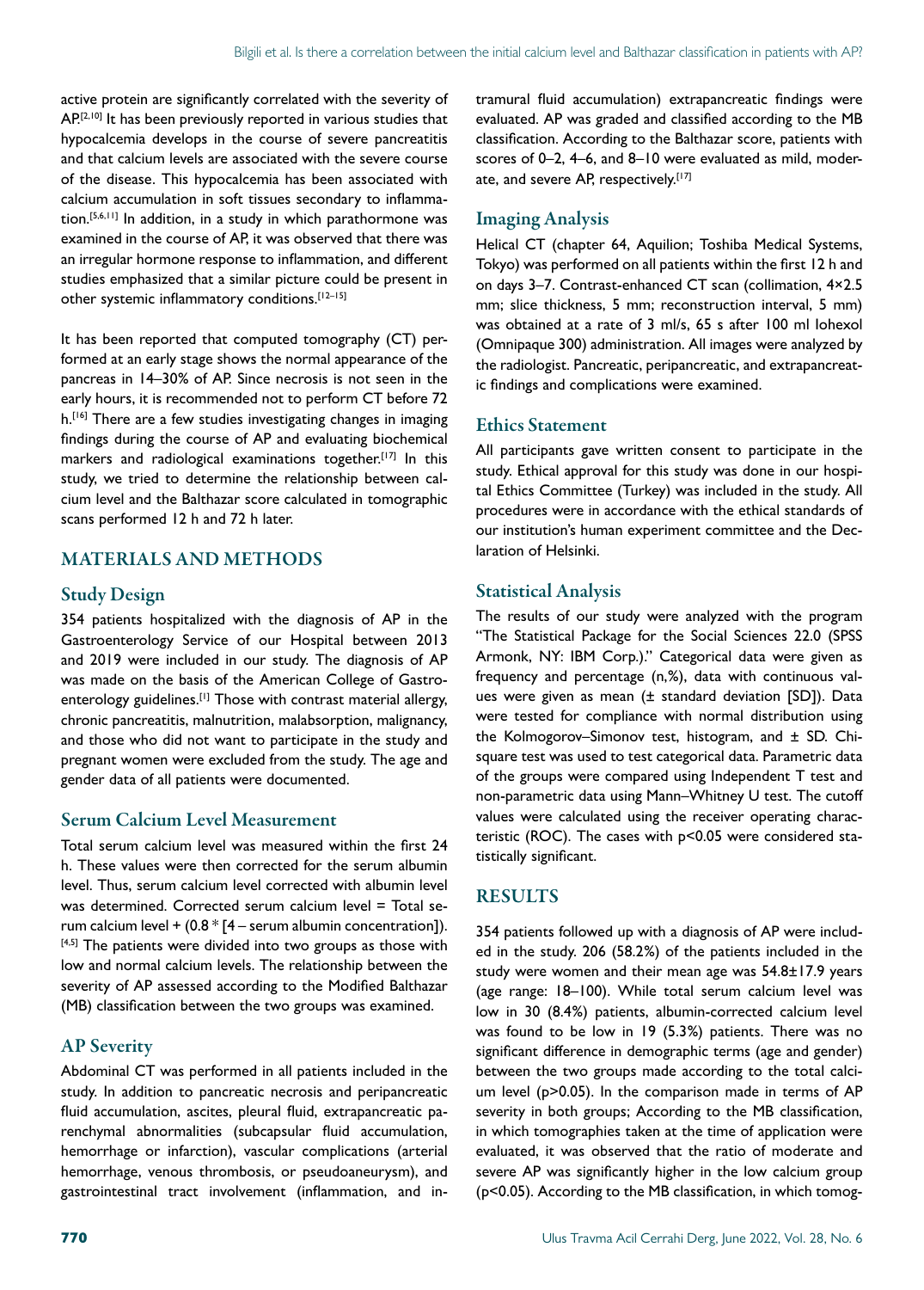active protein are significantly correlated with the severity of AP.[2,10] It has been previously reported in various studies that hypocalcemia develops in the course of severe pancreatitis and that calcium levels are associated with the severe course of the disease. This hypocalcemia has been associated with calcium accumulation in soft tissues secondary to inflammation.[5,6,11] In addition, in a study in which parathormone was examined in the course of AP, it was observed that there was an irregular hormone response to inflammation, and different studies emphasized that a similar picture could be present in other systemic inflammatory conditions.[12–15]

It has been reported that computed tomography (CT) performed at an early stage shows the normal appearance of the pancreas in 14–30% of AP. Since necrosis is not seen in the early hours, it is recommended not to perform CT before 72 h.<sup>[16]</sup> There are a few studies investigating changes in imaging findings during the course of AP and evaluating biochemical markers and radiological examinations together.<sup>[17]</sup> In this study, we tried to determine the relationship between calcium level and the Balthazar score calculated in tomographic scans performed 12 h and 72 h later.

# MATERIALS AND METHODS

#### Study Design

354 patients hospitalized with the diagnosis of AP in the Gastroenterology Service of our Hospital between 2013 and 2019 were included in our study. The diagnosis of AP was made on the basis of the American College of Gastroenterology guidelines.<sup>[1]</sup> Those with contrast material allergy, chronic pancreatitis, malnutrition, malabsorption, malignancy, and those who did not want to participate in the study and pregnant women were excluded from the study. The age and gender data of all patients were documented.

#### Serum Calcium Level Measurement

Total serum calcium level was measured within the first 24 h. These values were then corrected for the serum albumin level. Thus, serum calcium level corrected with albumin level was determined. Corrected serum calcium level = Total serum calcium level +  $(0.8 * [4 - \text{serum albumin concentration}]).$ [4,5] The patients were divided into two groups as those with low and normal calcium levels. The relationship between the severity of AP assessed according to the Modified Balthazar (MB) classification between the two groups was examined.

# AP Severity

Abdominal CT was performed in all patients included in the study. In addition to pancreatic necrosis and peripancreatic fluid accumulation, ascites, pleural fluid, extrapancreatic parenchymal abnormalities (subcapsular fluid accumulation, hemorrhage or infarction), vascular complications (arterial hemorrhage, venous thrombosis, or pseudoaneurysm), and gastrointestinal tract involvement (inflammation, and intramural fluid accumulation) extrapancreatic findings were evaluated. AP was graded and classified according to the MB classification. According to the Balthazar score, patients with scores of 0–2, 4–6, and 8–10 were evaluated as mild, moderate, and severe AP, respectively.<sup>[17]</sup>

## Imaging Analysis

Helical CT (chapter 64, Aquilion; Toshiba Medical Systems, Tokyo) was performed on all patients within the first 12 h and on days 3–7. Contrast-enhanced CT scan (collimation, 4×2.5 mm; slice thickness, 5 mm; reconstruction interval, 5 mm) was obtained at a rate of 3 ml/s, 65 s after 100 ml Iohexol (Omnipaque 300) administration. All images were analyzed by the radiologist. Pancreatic, peripancreatic, and extrapancreatic findings and complications were examined.

#### Ethics Statement

All participants gave written consent to participate in the study. Ethical approval for this study was done in our hospital Ethics Committee (Turkey) was included in the study. All procedures were in accordance with the ethical standards of our institution's human experiment committee and the Declaration of Helsinki.

### Statistical Analysis

The results of our study were analyzed with the program "The Statistical Package for the Social Sciences 22.0 (SPSS Armonk, NY: IBM Corp.)." Categorical data were given as frequency and percentage (n,%), data with continuous values were given as mean (± standard deviation [SD]). Data were tested for compliance with normal distribution using the Kolmogorov–Simonov test, histogram, and  $\pm$  SD. Chisquare test was used to test categorical data. Parametric data of the groups were compared using Independent T test and non-parametric data using Mann–Whitney U test. The cutoff values were calculated using the receiver operating characteristic (ROC). The cases with p<0.05 were considered statistically significant.

# RESULTS

354 patients followed up with a diagnosis of AP were included in the study. 206 (58.2%) of the patients included in the study were women and their mean age was 54.8±17.9 years (age range: 18–100). While total serum calcium level was low in 30 (8.4%) patients, albumin-corrected calcium level was found to be low in 19 (5.3%) patients. There was no significant difference in demographic terms (age and gender) between the two groups made according to the total calcium level (p>0.05). In the comparison made in terms of AP severity in both groups; According to the MB classification, in which tomographies taken at the time of application were evaluated, it was observed that the ratio of moderate and severe AP was significantly higher in the low calcium group (p<0.05). According to the MB classification, in which tomog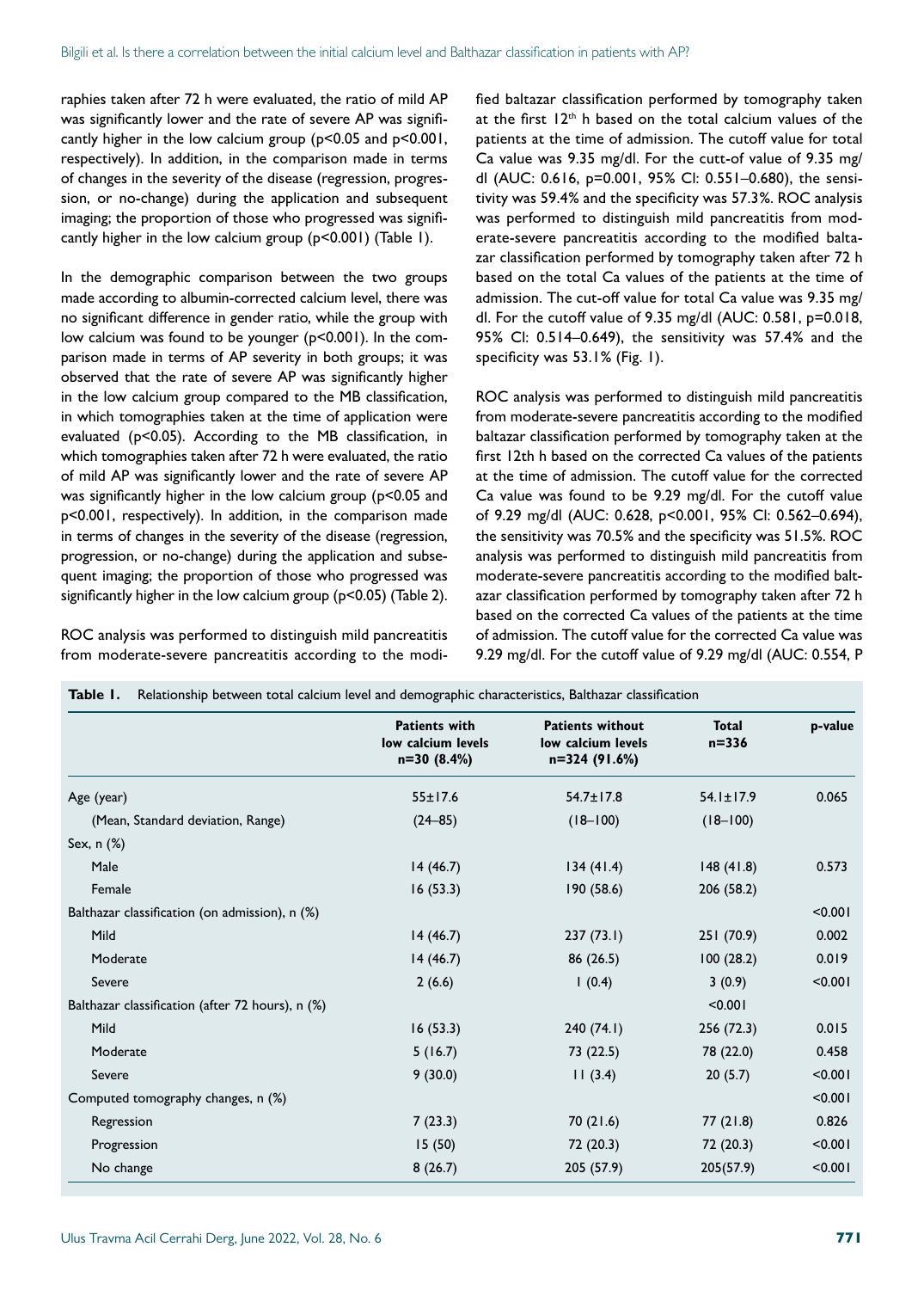raphies taken after 72 h were evaluated, the ratio of mild AP was significantly lower and the rate of severe AP was significantly higher in the low calcium group (p<0.05 and p<0.001, respectively). In addition, in the comparison made in terms of changes in the severity of the disease (regression, progression, or no-change) during the application and subsequent imaging; the proportion of those who progressed was significantly higher in the low calcium group (p<0.001) (Table 1).

In the demographic comparison between the two groups made according to albumin-corrected calcium level, there was no significant difference in gender ratio, while the group with low calcium was found to be younger (p<0.001). In the comparison made in terms of AP severity in both groups; it was observed that the rate of severe AP was significantly higher in the low calcium group compared to the MB classification, in which tomographies taken at the time of application were evaluated (p<0.05). According to the MB classification, in which tomographies taken after 72 h were evaluated, the ratio of mild AP was significantly lower and the rate of severe AP was significantly higher in the low calcium group (p<0.05 and p<0.001, respectively). In addition, in the comparison made in terms of changes in the severity of the disease (regression, progression, or no-change) during the application and subsequent imaging; the proportion of those who progressed was significantly higher in the low calcium group (p<0.05) (Table 2).

ROC analysis was performed to distinguish mild pancreatitis from moderate-severe pancreatitis according to the modified baltazar classification performed by tomography taken at the first  $12<sup>th</sup>$  h based on the total calcium values of the patients at the time of admission. The cutoff value for total Ca value was 9.35 mg/dl. For the cutt-of value of 9.35 mg/ dl (AUC: 0.616, p=0.001, 95% Cl: 0.551–0.680), the sensitivity was 59.4% and the specificity was 57.3%. ROC analysis was performed to distinguish mild pancreatitis from moderate-severe pancreatitis according to the modified baltazar classification performed by tomography taken after 72 h based on the total Ca values of the patients at the time of admission. The cut-off value for total Ca value was 9.35 mg/ dl. For the cutoff value of 9.35 mg/dl (AUC: 0.581, p=0.018, 95% Cl: 0.514–0.649), the sensitivity was 57.4% and the specificity was 53.1% (Fig. 1).

ROC analysis was performed to distinguish mild pancreatitis from moderate-severe pancreatitis according to the modified baltazar classification performed by tomography taken at the first 12th h based on the corrected Ca values of the patients at the time of admission. The cutoff value for the corrected Ca value was found to be 9.29 mg/dl. For the cutoff value of 9.29 mg/dl (AUC: 0.628, p<0.001, 95% Cl: 0.562–0.694), the sensitivity was 70.5% and the specificity was 51.5%. ROC analysis was performed to distinguish mild pancreatitis from moderate-severe pancreatitis according to the modified baltazar classification performed by tomography taken after 72 h based on the corrected Ca values of the patients at the time of admission. The cutoff value for the corrected Ca value was 9.29 mg/dl. For the cutoff value of 9.29 mg/dl (AUC: 0.554, P

|                                                  | <b>Patients with</b><br>low calcium levels<br>$n=30(8.4%)$ | <b>Patients without</b><br>low calcium levels<br>n=324 (91.6%) | <b>Total</b><br>$n = 336$ | p-value |
|--------------------------------------------------|------------------------------------------------------------|----------------------------------------------------------------|---------------------------|---------|
| Age (year)                                       | $55 \pm 17.6$                                              | $54.7 \pm 17.8$                                                | $54.1 \pm 17.9$           | 0.065   |
| (Mean, Standard deviation, Range)                | $(24 - 85)$                                                | $(18-100)$                                                     | $(18-100)$                |         |
| Sex, $n$ $(\%)$                                  |                                                            |                                                                |                           |         |
| Male                                             | 14(46.7)                                                   | 134(41.4)                                                      | 148(41.8)                 | 0.573   |
| Female                                           | 16(53.3)                                                   | 190 (58.6)                                                     | 206 (58.2)                |         |
| Balthazar classification (on admission), n (%)   |                                                            |                                                                |                           | < 0.001 |
| Mild                                             | 14(46.7)                                                   | 237(73.1)                                                      | 251 (70.9)                | 0.002   |
| Moderate                                         | 14(46.7)                                                   | 86(26.5)                                                       | 100(28.2)                 | 0.019   |
| Severe                                           | 2(6.6)                                                     | 1(0.4)                                                         | 3(0.9)                    | < 0.001 |
| Balthazar classification (after 72 hours), n (%) |                                                            |                                                                | < 0.001                   |         |
| Mild                                             | 16(53.3)                                                   | 240(74.1)                                                      | 256 (72.3)                | 0.015   |
| Moderate                                         | 5(16.7)                                                    | 73 (22.5)                                                      | 78 (22.0)                 | 0.458   |
| Severe                                           | 9(30.0)                                                    | 11(3.4)                                                        | 20(5.7)                   | < 0.001 |
| Computed tomography changes, n (%)               |                                                            |                                                                |                           | < 0.001 |
| Regression                                       | 7(23.3)                                                    | 70(21.6)                                                       | 77 (21.8)                 | 0.826   |
| Progression                                      | 15(50)                                                     | 72 (20.3)                                                      | 72 (20.3)                 | < 0.001 |
| No change                                        | 8(26.7)                                                    | 205 (57.9)                                                     | 205(57.9)                 | < 0.001 |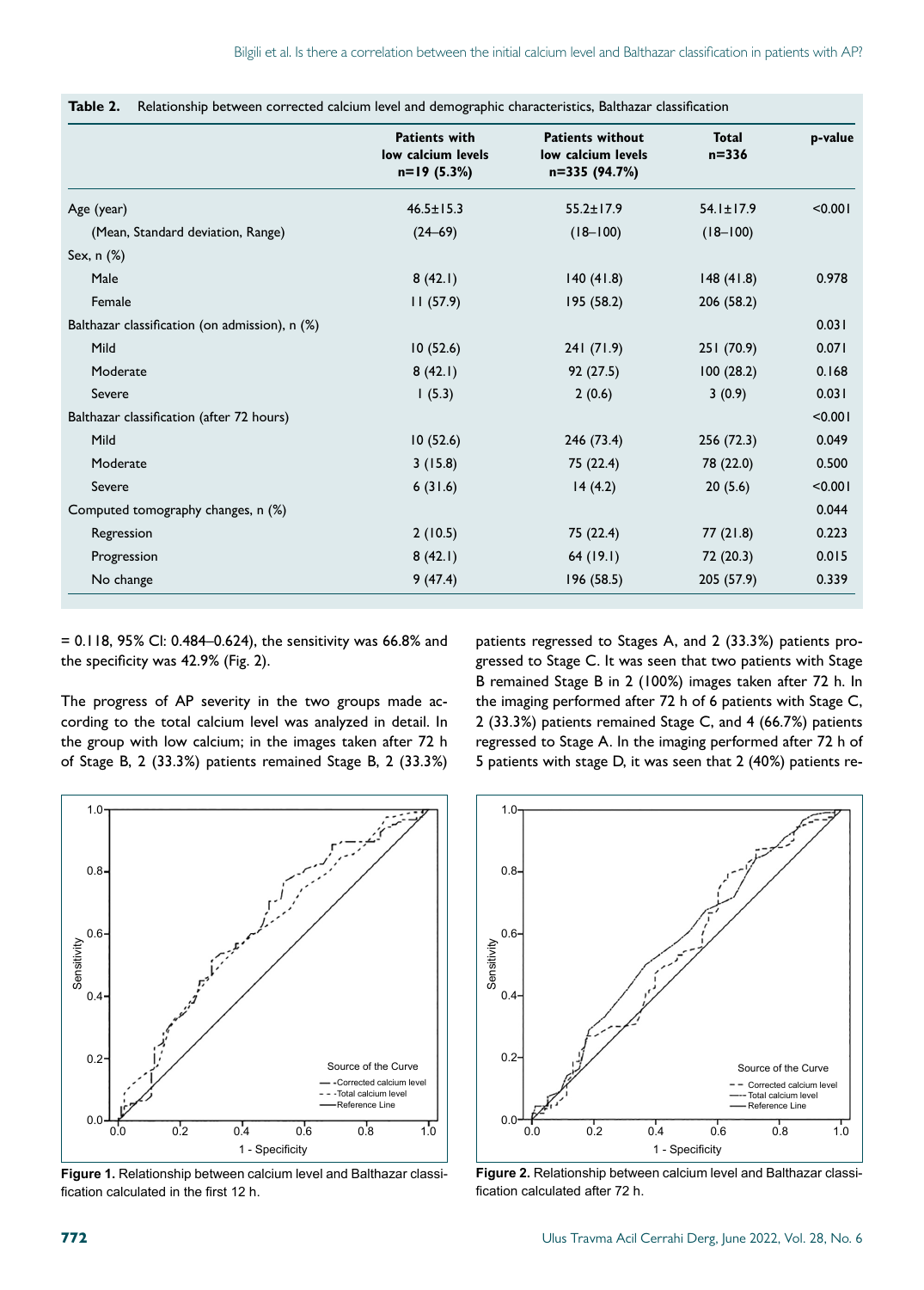|                                                | <b>Patients with</b><br>low calcium levels<br>$n=19(5.3%)$ | <b>Patients without</b><br>low calcium levels<br>n=335 (94.7%) | <b>Total</b><br>$n = 336$ | p-value |
|------------------------------------------------|------------------------------------------------------------|----------------------------------------------------------------|---------------------------|---------|
| Age (year)                                     | $46.5 \pm 15.3$                                            | $55.2 \pm 17.9$                                                | $54.1 \pm 17.9$           | < 0.001 |
| (Mean, Standard deviation, Range)              | $(24 - 69)$                                                | $(18 - 100)$                                                   | $(18 - 100)$              |         |
| Sex, $n$ $(\%)$                                |                                                            |                                                                |                           |         |
| Male                                           | 8(42.1)                                                    | 140(41.8)                                                      | 148(41.8)                 | 0.978   |
| Female                                         | 11(57.9)                                                   | 195 (58.2)                                                     | 206 (58.2)                |         |
| Balthazar classification (on admission), n (%) |                                                            |                                                                |                           | 0.031   |
| Mild                                           | 10(52.6)                                                   | 241(71.9)                                                      | 251 (70.9)                | 0.071   |
| Moderate                                       | 8(42.1)                                                    | 92 (27.5)                                                      | 100(28.2)                 | 0.168   |
| Severe                                         | 1(5.3)                                                     | 2(0.6)                                                         | 3(0.9)                    | 0.031   |
| Balthazar classification (after 72 hours)      |                                                            |                                                                |                           | < 0.001 |
| Mild                                           | 10(52.6)                                                   | 246 (73.4)                                                     | 256 (72.3)                | 0.049   |
| Moderate                                       | 3(15.8)                                                    | 75 (22.4)                                                      | 78 (22.0)                 | 0.500   |
| Severe                                         | 6(31.6)                                                    | 14(4.2)                                                        | 20(5.6)                   | < 0.001 |
| Computed tomography changes, n (%)             |                                                            |                                                                |                           | 0.044   |
| Regression                                     | 2(10.5)                                                    | 75 (22.4)                                                      | 77(21.8)                  | 0.223   |
| Progression                                    | 8(42.1)                                                    | 64(19.1)                                                       | 72 (20.3)                 | 0.015   |
| No change                                      | 9(47.4)                                                    | 196 (58.5)                                                     | 205 (57.9)                | 0.339   |

**Table 2.** Relationship between corrected calcium level and demographic characteristics, Balthazar classification

= 0.118, 95% Cl: 0.484–0.624), the sensitivity was 66.8% and the specificity was 42.9% (Fig. 2).

The progress of AP severity in the two groups made according to the total calcium level was analyzed in detail. In the group with low calcium; in the images taken after 72 h of Stage B, 2 (33.3%) patients remained Stage B, 2 (33.3%)

patients regressed to Stages A, and 2 (33.3%) patients progressed to Stage C. It was seen that two patients with Stage B remained Stage B in 2 (100%) images taken after 72 h. In the imaging performed after 72 h of 6 patients with Stage C, 2 (33.3%) patients remained Stage C, and 4 (66.7%) patients regressed to Stage A. In the imaging performed after 72 h of 5 patients with stage D, it was seen that 2 (40%) patients re-



**Figure 1.** Relationship between calcium level and Balthazar classification calculated in the first 12 h.



**Figure 2.** Relationship between calcium level and Balthazar classification calculated after 72 h.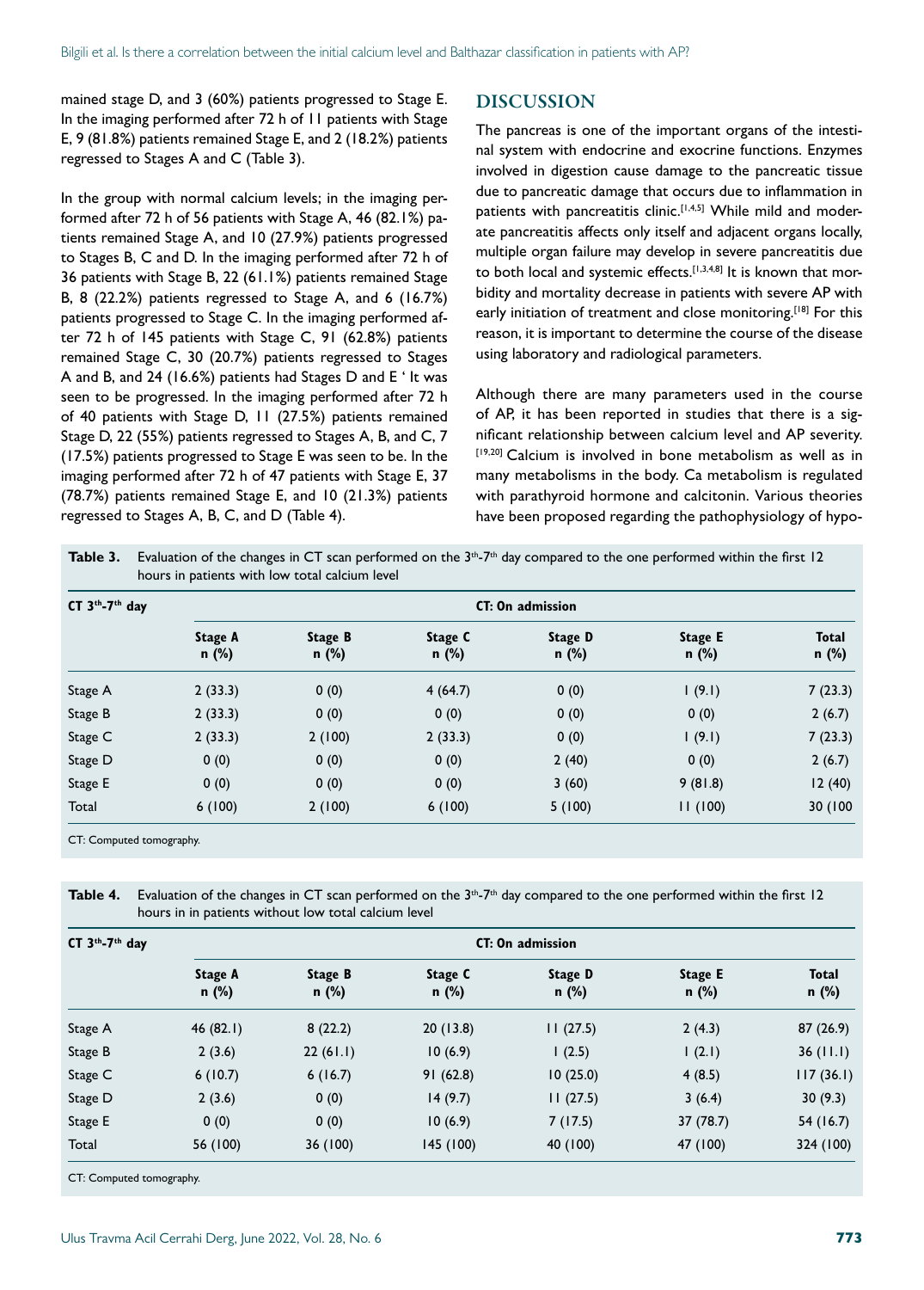mained stage D, and 3 (60%) patients progressed to Stage E. In the imaging performed after 72 h of 11 patients with Stage E, 9 (81.8%) patients remained Stage E, and 2 (18.2%) patients regressed to Stages A and C (Table 3).

In the group with normal calcium levels; in the imaging performed after 72 h of 56 patients with Stage A, 46 (82.1%) patients remained Stage A, and 10 (27.9%) patients progressed to Stages B, C and D. In the imaging performed after 72 h of 36 patients with Stage B, 22 (61.1%) patients remained Stage B, 8 (22.2%) patients regressed to Stage A, and 6 (16.7%) patients progressed to Stage C. In the imaging performed after 72 h of 145 patients with Stage C, 91 (62.8%) patients remained Stage C, 30 (20.7%) patients regressed to Stages A and B, and 24 (16.6%) patients had Stages D and E ' It was seen to be progressed. In the imaging performed after 72 h of 40 patients with Stage D, 11 (27.5%) patients remained Stage D, 22 (55%) patients regressed to Stages A, B, and C, 7 (17.5%) patients progressed to Stage E was seen to be. In the imaging performed after 72 h of 47 patients with Stage E, 37 (78.7%) patients remained Stage E, and 10 (21.3%) patients regressed to Stages A, B, C, and D (Table 4).

#### DISCUSSION

The pancreas is one of the important organs of the intestinal system with endocrine and exocrine functions. Enzymes involved in digestion cause damage to the pancreatic tissue due to pancreatic damage that occurs due to inflammation in patients with pancreatitis clinic.<sup>[1,4,5]</sup> While mild and moderate pancreatitis affects only itself and adjacent organs locally, multiple organ failure may develop in severe pancreatitis due to both local and systemic effects.<sup>[1,3,4,8]</sup> It is known that morbidity and mortality decrease in patients with severe AP with early initiation of treatment and close monitoring.<sup>[18]</sup> For this reason, it is important to determine the course of the disease using laboratory and radiological parameters.

Although there are many parameters used in the course of AP, it has been reported in studies that there is a significant relationship between calcium level and AP severity. [19,20] Calcium is involved in bone metabolism as well as in many metabolisms in the body. Ca metabolism is regulated with parathyroid hormone and calcitonin. Various theories have been proposed regarding the pathophysiology of hypo-

| <b>Table 3.</b> Evaluation of the changes in CT scan performed on the $3th$ -7 <sup>th</sup> day compared to the one performed within the first 12 |
|----------------------------------------------------------------------------------------------------------------------------------------------------|
| hours in patients with low total calcium level                                                                                                     |

| CT $3th - 7th$ day | <b>CT: On admission</b> |                    |                    |                    |                    |                       |
|--------------------|-------------------------|--------------------|--------------------|--------------------|--------------------|-----------------------|
|                    | Stage A<br>$n$ (%)      | Stage B<br>$n$ (%) | Stage C<br>$n$ (%) | Stage D<br>$n$ (%) | Stage E<br>$n$ (%) | <b>Total</b><br>n (%) |
| Stage A            | 2(33.3)                 | 0(0)               | 4(64.7)            | 0(0)               | 1(9.1)             | 7(23.3)               |
| Stage B            | 2(33.3)                 | 0(0)               | 0(0)               | 0(0)               | 0(0)               | 2(6.7)                |
| Stage C            | 2(33.3)                 | 2(100)             | 2(33.3)            | 0(0)               | 1(9.1)             | 7(23.3)               |
| Stage D            | 0(0)                    | 0(0)               | 0(0)               | 2(40)              | 0(0)               | 2(6.7)                |
| Stage E            | 0(0)                    | 0(0)               | 0(0)               | 3(60)              | 9(81.8)            | 12(40)                |
| Total              | 6(100)                  | 2(100)             | 6(100)             | 5(100)             | 11(100)            | 30 (100               |

CT: Computed tomography.

Table 4. Evaluation of the changes in CT scan performed on the 3<sup>th</sup>-7<sup>th</sup> day compared to the one performed within the first 12 hours in in patients without low total calcium level

| CT $3th - 7th$ day | <b>CT: On admission</b> |                  |                  |                  |                    |                       |  |
|--------------------|-------------------------|------------------|------------------|------------------|--------------------|-----------------------|--|
|                    | Stage A<br>n (%)        | Stage B<br>n (%) | Stage C<br>n (%) | Stage D<br>n (%) | Stage E<br>$n$ (%) | <b>Total</b><br>n (%) |  |
| Stage A            | 46(82.1)                | 8(22.2)          | 20(13.8)         | 11(27.5)         | 2(4.3)             | 87(26.9)              |  |
| Stage B            | 2(3.6)                  | 22(61.1)         | 10(6.9)          | 1(2.5)           | (2.1)              | 36(11.1)              |  |
| Stage C            | 6(10.7)                 | 6(16.7)          | 91(62.8)         | 10(25.0)         | 4(8.5)             | 117(36.1)             |  |
| Stage D            | 2(3.6)                  | 0(0)             | 14(9.7)          | 11(27.5)         | 3(6.4)             | 30(9.3)               |  |
| Stage E            | 0(0)                    | 0(0)             | 10(6.9)          | 7(17.5)          | 37(78.7)           | 54 (16.7)             |  |
| Total              | 56 (100)                | 36 (100)         | 145 (100)        | 40 (100)         | 47 (100)           | 324 (100)             |  |

CT: Computed tomography.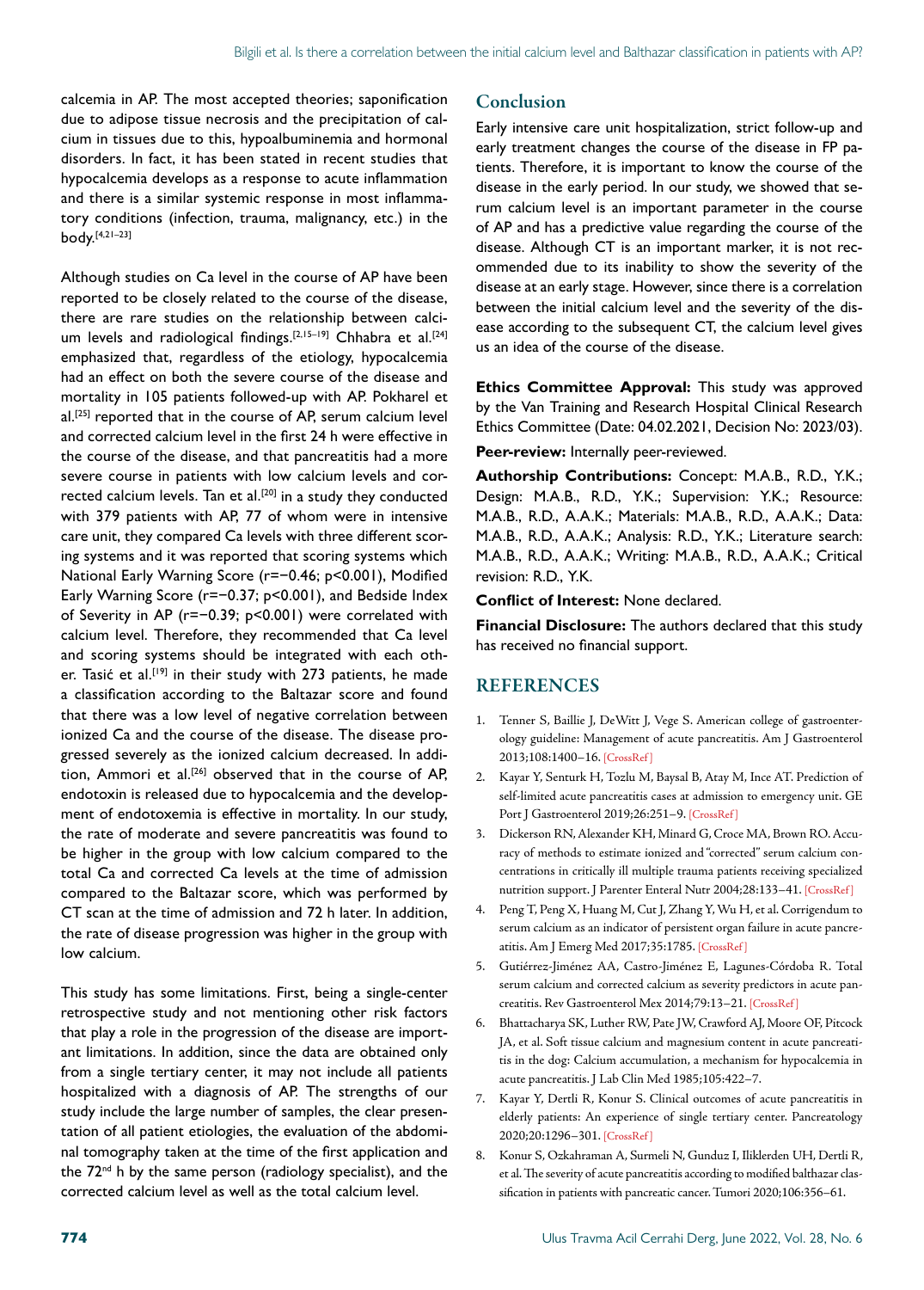calcemia in AP. The most accepted theories; saponification due to adipose tissue necrosis and the precipitation of calcium in tissues due to this, hypoalbuminemia and hormonal disorders. In fact, it has been stated in recent studies that hypocalcemia develops as a response to acute inflammation and there is a similar systemic response in most inflammatory conditions (infection, trauma, malignancy, etc.) in the body.[4,21–23]

Although studies on Ca level in the course of AP have been reported to be closely related to the course of the disease, there are rare studies on the relationship between calcium levels and radiological findings.<sup>[2,15-19]</sup> Chhabra et al.<sup>[24]</sup> emphasized that, regardless of the etiology, hypocalcemia had an effect on both the severe course of the disease and mortality in 105 patients followed-up with AP. Pokharel et al.[25] reported that in the course of AP, serum calcium level and corrected calcium level in the first 24 h were effective in the course of the disease, and that pancreatitis had a more severe course in patients with low calcium levels and corrected calcium levels. Tan et al.<sup>[20]</sup> in a study they conducted with 379 patients with AP, 77 of whom were in intensive care unit, they compared Ca levels with three different scoring systems and it was reported that scoring systems which National Early Warning Score (r=−0.46; p<0.001), Modified Early Warning Score (r=−0.37; p<0.001), and Bedside Index of Severity in AP (r=−0.39; p<0.001) were correlated with calcium level. Therefore, they recommended that Ca level and scoring systems should be integrated with each other. Tasić et al.<sup>[19]</sup> in their study with 273 patients, he made a classification according to the Baltazar score and found that there was a low level of negative correlation between ionized Ca and the course of the disease. The disease progressed severely as the ionized calcium decreased. In addition, Ammori et al.[26] observed that in the course of AP, endotoxin is released due to hypocalcemia and the development of endotoxemia is effective in mortality. In our study, the rate of moderate and severe pancreatitis was found to be higher in the group with low calcium compared to the total Ca and corrected Ca levels at the time of admission compared to the Baltazar score, which was performed by CT scan at the time of admission and 72 h later. In addition, the rate of disease progression was higher in the group with low calcium.

This study has some limitations. First, being a single-center retrospective study and not mentioning other risk factors that play a role in the progression of the disease are important limitations. In addition, since the data are obtained only from a single tertiary center, it may not include all patients hospitalized with a diagnosis of AP. The strengths of our study include the large number of samples, the clear presentation of all patient etiologies, the evaluation of the abdominal tomography taken at the time of the first application and the  $72<sup>nd</sup>$  h by the same person (radiology specialist), and the corrected calcium level as well as the total calcium level.

#### Conclusion

Early intensive care unit hospitalization, strict follow-up and early treatment changes the course of the disease in FP patients. Therefore, it is important to know the course of the disease in the early period. In our study, we showed that serum calcium level is an important parameter in the course of AP and has a predictive value regarding the course of the disease. Although CT is an important marker, it is not recommended due to its inability to show the severity of the disease at an early stage. However, since there is a correlation between the initial calcium level and the severity of the disease according to the subsequent CT, the calcium level gives us an idea of the course of the disease.

**Ethics Committee Approval:** This study was approved by the Van Training and Research Hospital Clinical Research Ethics Committee (Date: 04.02.2021, Decision No: 2023/03).

#### **Peer-review:** Internally peer-reviewed.

**Authorship Contributions:** Concept: M.A.B., R.D., Y.K.; Design: M.A.B., R.D., Y.K.; Supervision: Y.K.; Resource: M.A.B., R.D., A.A.K.; Materials: M.A.B., R.D., A.A.K.; Data: M.A.B., R.D., A.A.K.; Analysis: R.D., Y.K.; Literature search: M.A.B., R.D., A.A.K.; Writing: M.A.B., R.D., A.A.K.; Critical revision: R.D., Y.K.

**Conflict of Interest:** None declared.

**Financial Disclosure:** The authors declared that this study has received no financial support.

#### REFERENCES

- 1. Tenner S, Baillie J, DeWitt J, Vege S. American college of gastroenterology guideline: Management of acute pancreatitis. Am J Gastroenterol 2013;108:1400–16. [\[CrossRef \]](https://doi.org/10.1038/ajg.2013.218)
- 2. Kayar Y, Senturk H, Tozlu M, Baysal B, Atay M, Ince AT. Prediction of self-limited acute pancreatitis cases at admission to emergency unit. GE Port J Gastroenterol 2019;26:251-9. [CrossRef]
- 3. Dickerson RN, Alexander KH, Minard G, Croce MA, Brown RO. Accuracy of methods to estimate ionized and "corrected" serum calcium concentrations in critically ill multiple trauma patients receiving specialized nutrition support. J Parenter Enteral Nutr 2004;28:133–4[1. \[CrossRef \]](https://doi.org/10.1177/0148607104028003133)
- 4. Peng T, Peng X, Huang M, Cut J, Zhang Y, Wu H, et al. Corrigendum to serum calcium as an indicator of persistent organ failure in acute pancreatitis. Am J Emerg Med 2017;35:1785. [\[CrossRef \]](https://doi.org/10.1016/j.ajem.2017.06.056)
- 5. Gutiérrez-Jiménez AA, Castro-Jiménez E, Lagunes-Córdoba R. Total serum calcium and corrected calcium as severity predictors in acute pancreatitis. Rev Gastroenterol Mex 2014;79:13–21[. \[CrossRef \]](https://doi.org/10.1016/j.rgmxen.2014.05.003)
- 6. Bhattacharya SK, Luther RW, Pate JW, Crawford AJ, Moore OF, Pitcock JA, et al. Soft tissue calcium and magnesium content in acute pancreatitis in the dog: Calcium accumulation, a mechanism for hypocalcemia in acute pancreatitis. J Lab Clin Med 1985;105:422–7.
- 7. Kayar Y, Dertli R, Konur S. Clinical outcomes of acute pancreatitis in elderly patients: An experience of single tertiary center. Pancreatology 2020;20:1296–3[01. \[CrossRef \]](https://doi.org/10.1016/j.pan.2020.06.006)
- 8. Konur S, Ozkahraman A, Surmeli N, Gunduz I, Iliklerden UH, Dertli R, et al. The severity of acute pancreatitis according to modified balthazar classification in patients with pancreatic cancer. Tumori 20[20;106:356–61.](https://doi.org/10.1177/0300891620948961)